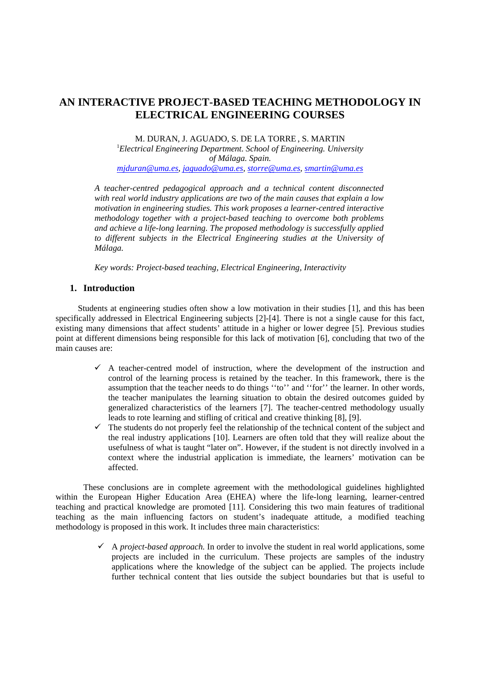# **AN INTERACTIVE PROJECT-BASED TEACHING METHODOLOGY IN ELECTRICAL ENGINEERING COURSES**

M. DURAN, J. AGUADO, S. DE LA TORRE , S. MARTIN 1 *Electrical Engineering Department. School of Engineering. University of Málaga. Spain. mjduran@uma.es, jaguado@uma.es, storre@uma.es, smartin@uma.es* 

*A teacher-centred pedagogical approach and a technical content disconnected with real world industry applications are two of the main causes that explain a low motivation in engineering studies. This work proposes a learner-centred interactive methodology together with a project-based teaching to overcome both problems and achieve a life-long learning. The proposed methodology is successfully applied to different subjects in the Electrical Engineering studies at the University of Málaga.* 

*Key words: Project-based teaching, Electrical Engineering, Interactivity* 

## **1. Introduction**

Students at engineering studies often show a low motivation in their studies [1], and this has been specifically addressed in Electrical Engineering subjects [2]-[4]. There is not a single cause for this fact, existing many dimensions that affect students' attitude in a higher or lower degree [5]. Previous studies point at different dimensions being responsible for this lack of motivation [6], concluding that two of the main causes are:

- $\checkmark$  A teacher-centred model of instruction, where the development of the instruction and control of the learning process is retained by the teacher. In this framework, there is the assumption that the teacher needs to do things ''to'' and ''for'' the learner. In other words, the teacher manipulates the learning situation to obtain the desired outcomes guided by generalized characteristics of the learners [7]. The teacher-centred methodology usually leads to rote learning and stifling of critical and creative thinking [8], [9].
- $\checkmark$  The students do not properly feel the relationship of the technical content of the subject and the real industry applications [10]. Learners are often told that they will realize about the usefulness of what is taught "later on". However, if the student is not directly involved in a context where the industrial application is immediate, the learners' motivation can be affected.

These conclusions are in complete agreement with the methodological guidelines highlighted within the European Higher Education Area (EHEA) where the life-long learning, learner-centred teaching and practical knowledge are promoted [11]. Considering this two main features of traditional teaching as the main influencing factors on student's inadequate attitude, a modified teaching methodology is proposed in this work. It includes three main characteristics:

> 9 A *project-based approach.* In order to involve the student in real world applications, some projects are included in the curriculum. These projects are samples of the industry applications where the knowledge of the subject can be applied. The projects include further technical content that lies outside the subject boundaries but that is useful to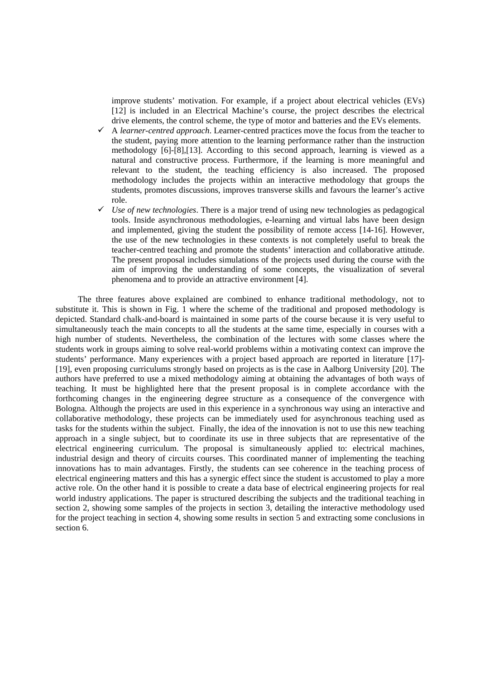improve students' motivation. For example, if a project about electrical vehicles (EVs) [12] is included in an Electrical Machine's course, the project describes the electrical drive elements, the control scheme, the type of motor and batteries and the EVs elements.

- 9 A *learner-centred approach*. Learner-centred practices move the focus from the teacher to the student, paying more attention to the learning performance rather than the instruction methodology [6]-[8],[13]. According to this second approach, learning is viewed as a natural and constructive process. Furthermore, if the learning is more meaningful and relevant to the student, the teaching efficiency is also increased. The proposed methodology includes the projects within an interactive methodology that groups the students, promotes discussions, improves transverse skills and favours the learner's active role.
- $\checkmark$  Use of new technologies. There is a major trend of using new technologies as pedagogical tools. Inside asynchronous methodologies, e-learning and virtual labs have been design and implemented, giving the student the possibility of remote access [14-16]. However, the use of the new technologies in these contexts is not completely useful to break the teacher-centred teaching and promote the students' interaction and collaborative attitude. The present proposal includes simulations of the projects used during the course with the aim of improving the understanding of some concepts, the visualization of several phenomena and to provide an attractive environment [4].

The three features above explained are combined to enhance traditional methodology, not to substitute it. This is shown in Fig. 1 where the scheme of the traditional and proposed methodology is depicted. Standard chalk-and-board is maintained in some parts of the course because it is very useful to simultaneously teach the main concepts to all the students at the same time, especially in courses with a high number of students. Nevertheless, the combination of the lectures with some classes where the students work in groups aiming to solve real-world problems within a motivating context can improve the students' performance. Many experiences with a project based approach are reported in literature [17]- [19], even proposing curriculums strongly based on projects as is the case in Aalborg University [20]. The authors have preferred to use a mixed methodology aiming at obtaining the advantages of both ways of teaching. It must be highlighted here that the present proposal is in complete accordance with the forthcoming changes in the engineering degree structure as a consequence of the convergence with Bologna. Although the projects are used in this experience in a synchronous way using an interactive and collaborative methodology, these projects can be immediately used for asynchronous teaching used as tasks for the students within the subject. Finally, the idea of the innovation is not to use this new teaching approach in a single subject, but to coordinate its use in three subjects that are representative of the electrical engineering curriculum. The proposal is simultaneously applied to: electrical machines, industrial design and theory of circuits courses. This coordinated manner of implementing the teaching innovations has to main advantages. Firstly, the students can see coherence in the teaching process of electrical engineering matters and this has a synergic effect since the student is accustomed to play a more active role. On the other hand it is possible to create a data base of electrical engineering projects for real world industry applications. The paper is structured describing the subjects and the traditional teaching in section 2, showing some samples of the projects in section 3, detailing the interactive methodology used for the project teaching in section 4, showing some results in section 5 and extracting some conclusions in section 6.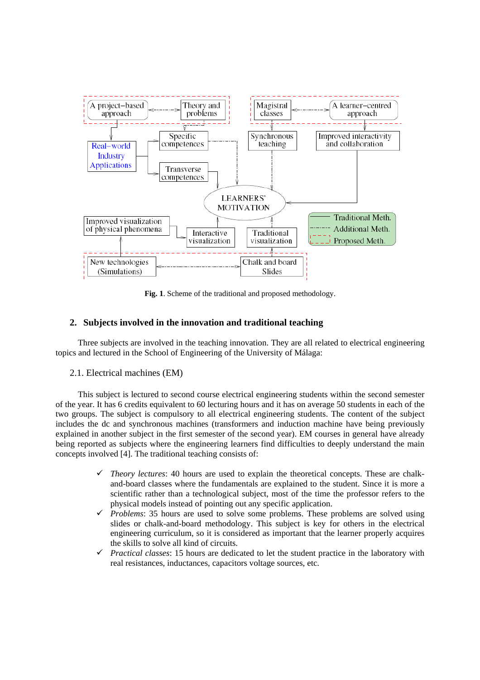

**Fig. 1**. Scheme of the traditional and proposed methodology.

## **2. Subjects involved in the innovation and traditional teaching**

Three subjects are involved in the teaching innovation. They are all related to electrical engineering topics and lectured in the School of Engineering of the University of Málaga:

2.1. Electrical machines (EM)

This subject is lectured to second course electrical engineering students within the second semester of the year. It has 6 credits equivalent to 60 lecturing hours and it has on average 50 students in each of the two groups. The subject is compulsory to all electrical engineering students. The content of the subject includes the dc and synchronous machines (transformers and induction machine have being previously explained in another subject in the first semester of the second year). EM courses in general have already being reported as subjects where the engineering learners find difficulties to deeply understand the main concepts involved [4]. The traditional teaching consists of:

- $\checkmark$  *Theory lectures*: 40 hours are used to explain the theoretical concepts. These are chalkand-board classes where the fundamentals are explained to the student. Since it is more a scientific rather than a technological subject, most of the time the professor refers to the physical models instead of pointing out any specific application.
- 9 *Problems*: 35 hours are used to solve some problems. These problems are solved using slides or chalk-and-board methodology. This subject is key for others in the electrical engineering curriculum, so it is considered as important that the learner properly acquires the skills to solve all kind of circuits.
- $\checkmark$  *Practical classes*: 15 hours are dedicated to let the student practice in the laboratory with real resistances, inductances, capacitors voltage sources, etc.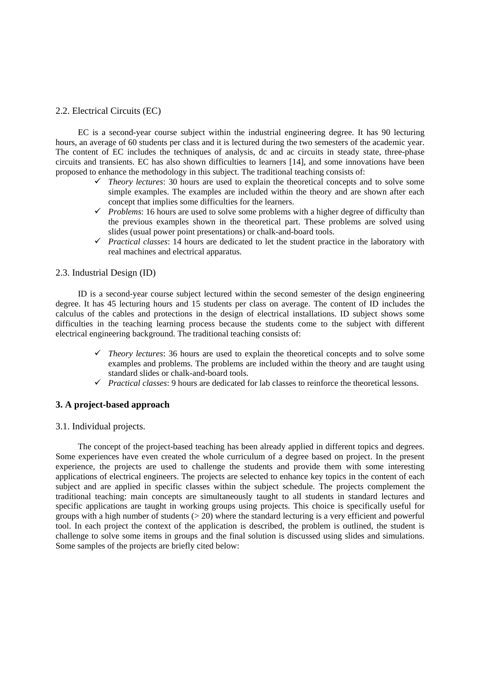#### 2.2. Electrical Circuits (EC)

EC is a second-year course subject within the industrial engineering degree. It has 90 lecturing hours, an average of 60 students per class and it is lectured during the two semesters of the academic year. The content of EC includes the techniques of analysis, dc and ac circuits in steady state, three-phase circuits and transients. EC has also shown difficulties to learners [14], and some innovations have been proposed to enhance the methodology in this subject. The traditional teaching consists of:

- $\checkmark$  *Theory lectures*: 30 hours are used to explain the theoretical concepts and to solve some simple examples. The examples are included within the theory and are shown after each concept that implies some difficulties for the learners.
- $\checkmark$  *Problems*: 16 hours are used to solve some problems with a higher degree of difficulty than the previous examples shown in the theoretical part. These problems are solved using slides (usual power point presentations) or chalk-and-board tools.
- 9 *Practical classes*: 14 hours are dedicated to let the student practice in the laboratory with real machines and electrical apparatus.

### 2.3. Industrial Design (ID)

ID is a second-year course subject lectured within the second semester of the design engineering degree. It has 45 lecturing hours and 15 students per class on average. The content of ID includes the calculus of the cables and protections in the design of electrical installations. ID subject shows some difficulties in the teaching learning process because the students come to the subject with different electrical engineering background. The traditional teaching consists of:

- $\checkmark$  *Theory lectures*: 36 hours are used to explain the theoretical concepts and to solve some examples and problems. The problems are included within the theory and are taught using standard slides or chalk-and-board tools.
- $\checkmark$  *Practical classes*: 9 hours are dedicated for lab classes to reinforce the theoretical lessons.

## **3. A project-based approach**

#### 3.1. Individual projects.

The concept of the project-based teaching has been already applied in different topics and degrees. Some experiences have even created the whole curriculum of a degree based on project. In the present experience, the projects are used to challenge the students and provide them with some interesting applications of electrical engineers. The projects are selected to enhance key topics in the content of each subject and are applied in specific classes within the subject schedule. The projects complement the traditional teaching: main concepts are simultaneously taught to all students in standard lectures and specific applications are taught in working groups using projects. This choice is specifically useful for groups with a high number of students  $(> 20)$  where the standard lecturing is a very efficient and powerful tool. In each project the context of the application is described, the problem is outlined, the student is challenge to solve some items in groups and the final solution is discussed using slides and simulations. Some samples of the projects are briefly cited below: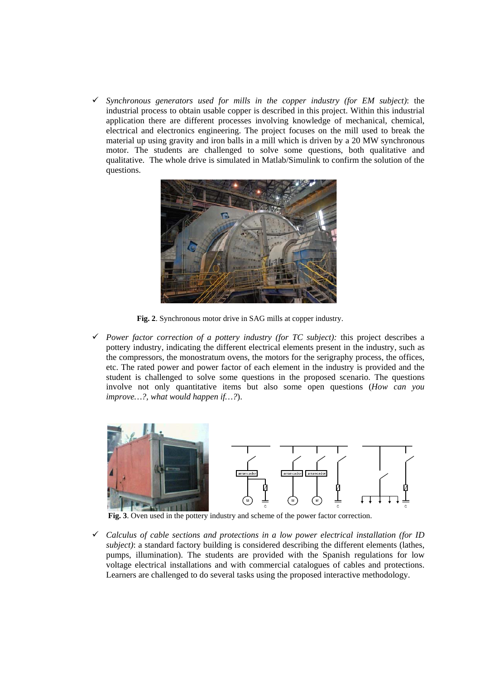$\checkmark$  Synchronous generators used for mills in the copper industry (for EM subject): the industrial process to obtain usable copper is described in this project. Within this industrial application there are different processes involving knowledge of mechanical, chemical, electrical and electronics engineering. The project focuses on the mill used to break the material up using gravity and iron balls in a mill which is driven by a 20 MW synchronous motor. The students are challenged to solve some questions, both qualitative and qualitative. The whole drive is simulated in Matlab/Simulink to confirm the solution of the questions.



**Fig. 2**. Synchronous motor drive in SAG mills at copper industry.

Power factor correction of a pottery industry (for TC subject): this project describes a pottery industry, indicating the different electrical elements present in the industry, such as the compressors, the monostratum ovens, the motors for the serigraphy process, the offices, etc. The rated power and power factor of each element in the industry is provided and the student is challenged to solve some questions in the proposed scenario. The questions involve not only quantitative items but also some open questions (*How can you improve…?, what would happen if…?*).



**Fig. 3**. Oven used in the pottery industry and scheme of the power factor correction.

9 *Calculus of cable sections and protections in a low power electrical installation (for ID subject)*: a standard factory building is considered describing the different elements (lathes, pumps, illumination). The students are provided with the Spanish regulations for low voltage electrical installations and with commercial catalogues of cables and protections. Learners are challenged to do several tasks using the proposed interactive methodology.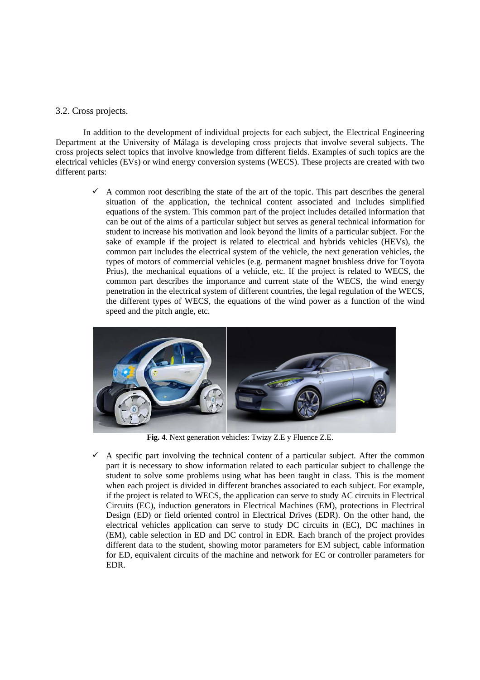#### 3.2. Cross projects.

In addition to the development of individual projects for each subject, the Electrical Engineering Department at the University of Málaga is developing cross projects that involve several subjects. The cross projects select topics that involve knowledge from different fields. Examples of such topics are the electrical vehicles (EVs) or wind energy conversion systems (WECS). These projects are created with two different parts:

 $\checkmark$  A common root describing the state of the art of the topic. This part describes the general situation of the application, the technical content associated and includes simplified equations of the system. This common part of the project includes detailed information that can be out of the aims of a particular subject but serves as general technical information for student to increase his motivation and look beyond the limits of a particular subject. For the sake of example if the project is related to electrical and hybrids vehicles (HEVs), the common part includes the electrical system of the vehicle, the next generation vehicles, the types of motors of commercial vehicles (e.g. permanent magnet brushless drive for Toyota Prius), the mechanical equations of a vehicle, etc. If the project is related to WECS, the common part describes the importance and current state of the WECS, the wind energy penetration in the electrical system of different countries, the legal regulation of the WECS, the different types of WECS, the equations of the wind power as a function of the wind speed and the pitch angle, etc.



**Fig. 4**. Next generation vehicles: Twizy Z.E y Fluence Z.E.

9 A specific part involving the technical content of a particular subject. After the common part it is necessary to show information related to each particular subject to challenge the student to solve some problems using what has been taught in class. This is the moment when each project is divided in different branches associated to each subject. For example, if the project is related to WECS, the application can serve to study AC circuits in Electrical Circuits (EC), induction generators in Electrical Machines (EM), protections in Electrical Design (ED) or field oriented control in Electrical Drives (EDR). On the other hand, the electrical vehicles application can serve to study DC circuits in (EC), DC machines in (EM), cable selection in ED and DC control in EDR. Each branch of the project provides different data to the student, showing motor parameters for EM subject, cable information for ED, equivalent circuits of the machine and network for EC or controller parameters for EDR.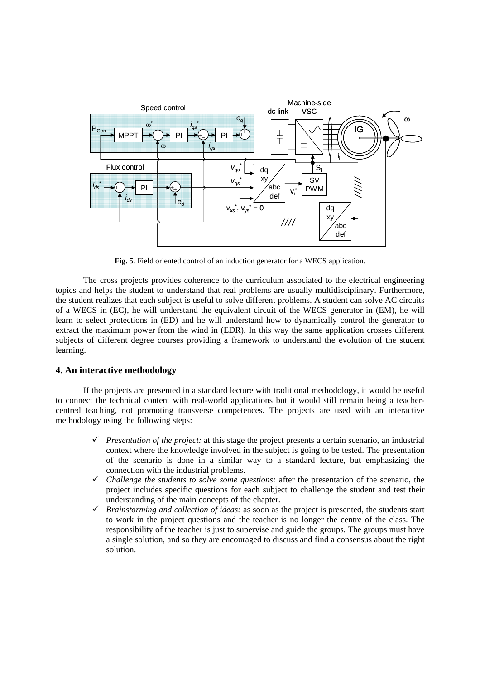

**Fig. 5**. Field oriented control of an induction generator for a WECS application.

The cross projects provides coherence to the curriculum associated to the electrical engineering topics and helps the student to understand that real problems are usually multidisciplinary. Furthermore, the student realizes that each subject is useful to solve different problems. A student can solve AC circuits of a WECS in (EC), he will understand the equivalent circuit of the WECS generator in (EM), he will learn to select protections in (ED) and he will understand how to dynamically control the generator to extract the maximum power from the wind in (EDR). In this way the same application crosses different subjects of different degree courses providing a framework to understand the evolution of the student learning.

## **4. An interactive methodology**

 If the projects are presented in a standard lecture with traditional methodology, it would be useful to connect the technical content with real-world applications but it would still remain being a teachercentred teaching, not promoting transverse competences. The projects are used with an interactive methodology using the following steps:

- 9 *Presentation of the project:* at this stage the project presents a certain scenario, an industrial context where the knowledge involved in the subject is going to be tested. The presentation of the scenario is done in a similar way to a standard lecture, but emphasizing the connection with the industrial problems.
- $\checkmark$  Challenge the students to solve some questions: after the presentation of the scenario, the project includes specific questions for each subject to challenge the student and test their understanding of the main concepts of the chapter.
- $\checkmark$  *Brainstorming and collection of ideas:* as soon as the project is presented, the students start to work in the project questions and the teacher is no longer the centre of the class. The responsibility of the teacher is just to supervise and guide the groups. The groups must have a single solution, and so they are encouraged to discuss and find a consensus about the right solution.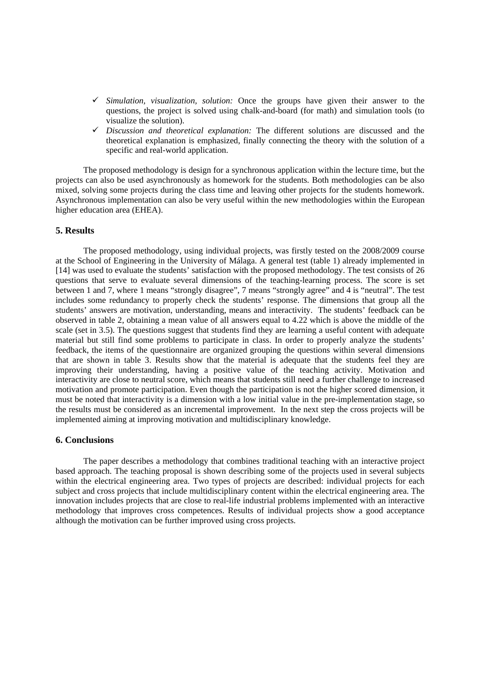- 9 *Simulation, visualization, solution:* Once the groups have given their answer to the questions, the project is solved using chalk-and-board (for math) and simulation tools (to visualize the solution).
- 9 *Discussion and theoretical explanation:* The different solutions are discussed and the theoretical explanation is emphasized, finally connecting the theory with the solution of a specific and real-world application.

The proposed methodology is design for a synchronous application within the lecture time, but the projects can also be used asynchronously as homework for the students. Both methodologies can be also mixed, solving some projects during the class time and leaving other projects for the students homework. Asynchronous implementation can also be very useful within the new methodologies within the European higher education area (EHEA).

#### **5. Results**

The proposed methodology, using individual projects, was firstly tested on the 2008/2009 course at the School of Engineering in the University of Málaga. A general test (table 1) already implemented in [14] was used to evaluate the students' satisfaction with the proposed methodology. The test consists of 26 questions that serve to evaluate several dimensions of the teaching-learning process. The score is set between 1 and 7, where 1 means "strongly disagree", 7 means "strongly agree" and 4 is "neutral". The test includes some redundancy to properly check the students' response. The dimensions that group all the students' answers are motivation, understanding, means and interactivity. The students' feedback can be observed in table 2, obtaining a mean value of all answers equal to 4.22 which is above the middle of the scale (set in 3.5). The questions suggest that students find they are learning a useful content with adequate material but still find some problems to participate in class. In order to properly analyze the students' feedback, the items of the questionnaire are organized grouping the questions within several dimensions that are shown in table 3. Results show that the material is adequate that the students feel they are improving their understanding, having a positive value of the teaching activity. Motivation and interactivity are close to neutral score, which means that students still need a further challenge to increased motivation and promote participation. Even though the participation is not the higher scored dimension, it must be noted that interactivity is a dimension with a low initial value in the pre-implementation stage, so the results must be considered as an incremental improvement. In the next step the cross projects will be implemented aiming at improving motivation and multidisciplinary knowledge.

#### **6. Conclusions**

The paper describes a methodology that combines traditional teaching with an interactive project based approach. The teaching proposal is shown describing some of the projects used in several subjects within the electrical engineering area. Two types of projects are described: individual projects for each subject and cross projects that include multidisciplinary content within the electrical engineering area. The innovation includes projects that are close to real-life industrial problems implemented with an interactive methodology that improves cross competences. Results of individual projects show a good acceptance although the motivation can be further improved using cross projects.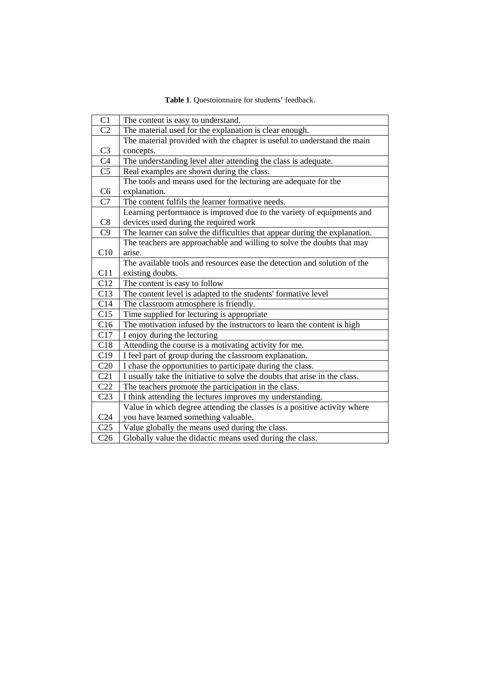| Table 1. Questoionnaire for students' feedback. |
|-------------------------------------------------|
|-------------------------------------------------|

| C1              | The content is easy to understand.                                         |  |  |  |  |  |  |
|-----------------|----------------------------------------------------------------------------|--|--|--|--|--|--|
| C <sub>2</sub>  | The material used for the explanation is clear enough.                     |  |  |  |  |  |  |
|                 | The material provided with the chapter is useful to understand the main    |  |  |  |  |  |  |
| C <sub>3</sub>  | concepts.                                                                  |  |  |  |  |  |  |
| C <sub>4</sub>  | The understanding level alter attending the class is adequate.             |  |  |  |  |  |  |
| C <sub>5</sub>  | Real examples are shown during the class.                                  |  |  |  |  |  |  |
|                 | The tools and means used for the lecturing are adequate for the            |  |  |  |  |  |  |
| C <sub>6</sub>  | explanation.                                                               |  |  |  |  |  |  |
| C7              | The content fulfils the learner formative needs.                           |  |  |  |  |  |  |
|                 | Learning performance is improved due to the variety of equipments and      |  |  |  |  |  |  |
| C8              | devices used during the required work                                      |  |  |  |  |  |  |
| C9              | The learner can solve the difficulties that appear during the explanation. |  |  |  |  |  |  |
|                 | The teachers are approachable and willing to solve the doubts that may     |  |  |  |  |  |  |
| C10             | arise.                                                                     |  |  |  |  |  |  |
|                 | The available tools and resources ease the detection and solution of the   |  |  |  |  |  |  |
| C11             | existing doubts.                                                           |  |  |  |  |  |  |
| C12             | The content is easy to follow                                              |  |  |  |  |  |  |
| C13             | The content level is adapted to the students' formative level              |  |  |  |  |  |  |
| C14             | The classroom atmosphere is friendly.                                      |  |  |  |  |  |  |
| C15             | Time supplied for lecturing is appropriate                                 |  |  |  |  |  |  |
| C16             | The motivation infused by the instructors to learn the content is high     |  |  |  |  |  |  |
| C17             | I enjoy during the lecturing                                               |  |  |  |  |  |  |
| C18             | Attending the course is a motivating activity for me.                      |  |  |  |  |  |  |
| C19             | I feel part of group during the classroom explanation.                     |  |  |  |  |  |  |
| C20             | I chase the opportunities to participate during the class.                 |  |  |  |  |  |  |
| C21             | I usually take the initiative to solve the doubts that arise in the class. |  |  |  |  |  |  |
| C22             | The teachers promote the participation in the class.                       |  |  |  |  |  |  |
| C <sub>23</sub> | I think attending the lectures improves my understanding.                  |  |  |  |  |  |  |
|                 | Value in which degree attending the classes is a positive activity where   |  |  |  |  |  |  |
| C <sub>24</sub> | you have learned something valuable.                                       |  |  |  |  |  |  |
| C <sub>25</sub> | Value globally the means used during the class.                            |  |  |  |  |  |  |
| C <sub>26</sub> | Globally value the didactic means used during the class.                   |  |  |  |  |  |  |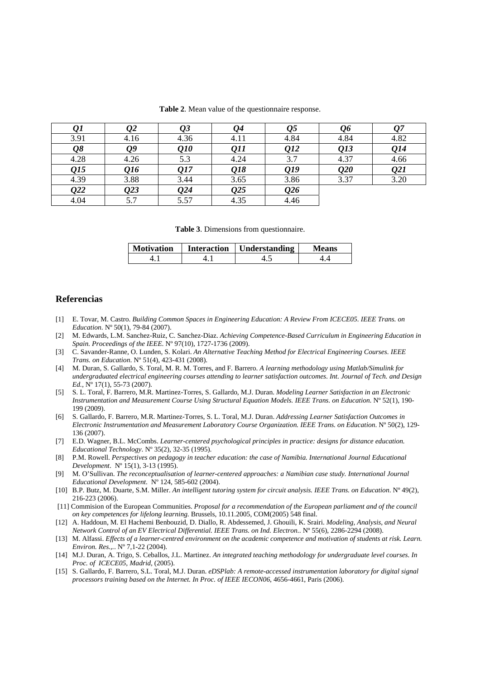|                        | 22   |                             |                  | 25               |      |      |
|------------------------|------|-----------------------------|------------------|------------------|------|------|
| 3.91                   | 4.16 | 4.36                        | 4.11             | 4.84             | 4.84 | 4.82 |
| $\overline{\varrho}$ 8 | Q9   | $\overline{\mathcal{Q}}$ 10 | Q11              | Q12              | Q13  | Q14  |
| 4.28                   | 4.26 | 5.3                         | 4.24             | 3.7              | 4.37 | 4.66 |
| Q15                    | Q16  | Q17                         | Q18              | Q19              | Q20  | Q21  |
| 4.39                   | 3.88 | 3.44                        | 3.65             | 3.86             | 3.37 | 3.20 |
| $\overline{Q}22$       | Q23  | Q24                         | $\overline{0}25$ | $\overline{0}26$ |      |      |
| 4.04                   | 5.7  | 5.57                        | 4.35             | 4.46             |      |      |

**Table 2**. Mean value of the questionnaire response.

**Table 3**. Dimensions from questionnaire.

| <b>Motivation</b> | Interaction   Understanding | Means |
|-------------------|-----------------------------|-------|
|                   |                             |       |

#### **Referencias**

- [1] E. Tovar, M. Castro. *Building Common Spaces in Engineering Education: A Review From ICECE05. IEEE Trans. on Education*. Nº 50(1), 79-84 (2007).
- [2] M. Edwards, L.M. Sanchez-Ruiz, C. Sanchez-Diaz. *Achieving Competence-Based Curriculum in Engineering Education in Spain. Proceedings of the IEEE*. Nº 97(10), 1727-1736 (2009).
- [3] C. Savander-Ranne, O. Lunden, S. Kolari. *An Alternative Teaching Method for Electrical Engineering Courses. IEEE Trans. on Education*. Nº 51(4), 423-431 (2008).
- [4] M. Duran, S. Gallardo, S. Toral, M. R. M. Torres, and F. Barrero. *A learning methodology using Matlab/Simulink for undergraduated electrical engineering courses attending to learner satisfaction outcomes*. *Int. Journal of Tech. and Design Ed.,* Nº 17(1), 55-73 (2007).
- [5] S. L. Toral, F. Barrero, M.R. Martinez-Torres, S. Gallardo, M.J. Duran. *Modeling Learner Satisfaction in an Electronic Instrumentation and Measurement Course Using Structural Equation Models. IEEE Trans. on Education*. Nº 52(1), 190- 199 (2009).
- [6] S. Gallardo, F. Barrero, M.R. Martinez-Torres, S. L. Toral, M.J. Duran. *Addressing Learner Satisfaction Outcomes in Electronic Instrumentation and Measurement Laboratory Course Organization. IEEE Trans. on Education*. Nº 50(2), 129- 136 (2007).
- [7] E.D. Wagner, B.L. McCombs. *Learner-centered psychological principles in practice: designs for distance education. Educational Technology*. Nº 35(2), 32-35 (1995).
- [8] P.M. Rowell. *Perspectives on pedagogy in teacher education: the case of Namibia*. *International Journal Educational Development*. Nº 15(1), 3-13 (1995).
- [9] M. O'Sullivan. *The reconceptualisation of learner-centered approaches: a Namibian case study. International Journal Educational Development*. Nº 124, 585-602 (2004).
- [10] B.P. Butz, M. Duarte, S.M. Miller. *An intelligent tutoring system for circuit analysis. IEEE Trans. on Education*. Nº 49(2), 216-223 (2006).
- [11] Commision of the European Communities. *Proposal for a recommendation of the European parliament and of the council on key competences for lifelong learning*. Brussels, 10.11.2005, COM(2005) 548 final.
- [12] A. Haddoun, M. El Hachemi Benbouzid, D. Diallo, R. Abdessemed, J. Ghouili, K. Srairi. *Modeling, Analysis, and Neural Network Control of an EV Electrical Differential. IEEE Trans. on Ind. Electron.*. Nº 55(6), 2286-2294 (2008).
- [13] M. Alfassi. *Effects of a learner-centred environment on the academic competence and motivation of students at risk. Learn. Environ. Res.,.*. Nº 7,1-22 (2004).
- [14] M.J. Duran, A. Trigo, S. Ceballos, J.L. Martinez. *An integrated teaching methodology for undergraduate level courses. In Proc. of ICECE05, Madrid,* (2005).
- [15] S. Gallardo, F. Barrero, S.L. Toral, M.J. Duran. *eDSPlab: A remote-accessed instrumentation laboratory for digital signal processors training based on the Internet. In Proc. of IEEE IECON06*, 4656-4661, Paris (2006).